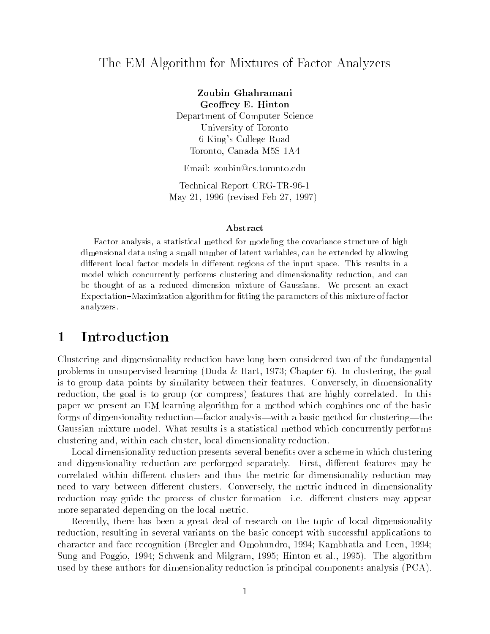## The EM Algorithm for Mixtures of Factor Analyzers

Zoubin Ghahramani Geoffrey E. Hinton Department of Computer Science University of Toronto 6 King's College Road Toronto, Canada M5S 1A4

Email: zoubin@cs.toronto.edu

Technical Report CRG-TR-96-1 May 21, 1996 (revised Feb 27, 1997)

### Abstract

Factor analysis, a statistical method for modeling the covariance structure of highdimensional data using a small number of latent variables, can be extended by allowingdifferent local factor models in different regions of the input space. This results in a model which concurrently performs clustering and dimensionality reduction, and canbe thought of as a reduced dimension mixture of Gaussians. We present an exact Expectation–Maximization algorithm for fitting the parameters of this mixture of factor analyzers.

## 1 Introduction

Clustering and dimensionality reduction have long been considered two of the fundamental problems in unsupervised learning (Duda & Hart, 1973; Chapter 6). In clustering, the goal is to group data points by similarity between their features. Conversely, in dimensionality reduction, the goal is to group (or compress) features that are highly correlated. In this paper we present an EM learning algorithm for a method which combines one of the basic forms of dimensionality reduction—factor analysis—with a basic method for clustering—the Gaussian mixture model. What results is a statistical method which concurrently performs clustering and, within each cluster, local dimensionality reduction.

Local dimensionality reduction presents several benefits over a scheme in which clustering and dimensionality reduction are performed separately. First, different features may be correlated within different clusters and thus the metric for dimensionality reduction may need to vary between different clusters. Conversely, the metric induced in dimensionality reduction may guide the process of cluster formation—i.e. different clusters may appear more separated depending on the local metric.

Recently, there has been a great deal of research on the topic of local dimensionality reduction, resulting in several variants on the basic concept with successful applications to character and face recognition (Bregler and Omohundro, 1994; Kambhatla and Leen, 1994; Sung and Poggio, 1994; Schwenk and Milgram, 1995; Hinton et al., 1995). The algorithm used by these authors for dimensionality reduction is principal components analysis (PCA).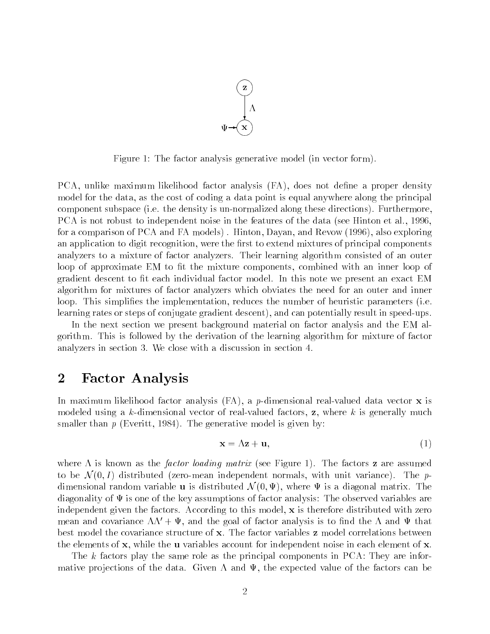

Figure 1: The factor analysis generative model (in vector form).

PCA, unlike maximum likelihood factor analysis (FA), does not define a proper density model for the data, as the cost of coding a data point is equal anywhere along the principal component subspace (i.e. the density is un-normalized along these directions). Furthermore, PCA is not robust to independent noise in the features of the data (see Hinton et al., 1996, for a comparison of PCA and FA models) . Hinton, Dayan, and Revow (1996), also exploring an application to digit recognition, were the first to extend mixtures of principal components analyzers to a mixture of factor analyzers. Their learning algorithm consisted of an outer loop of approximate EM to fit the mixture components, combined with an inner loop of gradient descent to fit each individual factor model. In this note we present an exact EM algorithm for mixtures of factor analyzers which obviates the need for an outer and inner loop. This simplifies the implementation, reduces the number of heuristic parameters (i.e. learning rates or steps of conjugate gradient descent), and can potentially result in speed-ups.

In the next section we present background material on factor analysis and the EM algorithm. This is followed by the derivation of the learning algorithm for mixture of factor analyzers in section 3. We close with a discussion in section 4.

## 2 Factor Analysis

In maximum likelihood factor analysis  $(FA)$ , a *p*-dimensional real-valued data vector **x** is modeled using a k-dimensional vector of real-valued factors,  $z$ , where k is generally much smaller than  $p$  (Everitt, 1984). The generative model is given by:

$$
\mathbf{x} = \Lambda \mathbf{z} + \mathbf{u},\tag{1}
$$

where  $\Lambda$  is known as the *factor loading matrix* (see Figure 1). The factors **z** are assumed to be  $\mathcal{N}(0, I)$  distributed (zero-mean independent normals, with unit variance). The pdimensional random variable **u** is distributed  $\mathcal{N}(0, \Psi)$ , where  $\Psi$  is a diagonal matrix. The diagonality of  $\Psi$  is one of the key assumptions of factor analysis: The observed variables are independent given the factors. According to this model,  $\mathbf x$  is therefore distributed with zero mean and covariance  $\Lambda\Lambda' + \Psi$ , and the goal of factor analysis is to find the  $\Lambda$  and  $\Psi$  that best model the covariance structure of x. The factor variables <sup>z</sup> model correlations between the elements of x, while the <sup>u</sup> variables account for independent noise in each element of x.

The <sup>k</sup> factors play the same role as the principal components in PCA: They are informative projections of the data. Given  $\Lambda$  and  $\Psi$ , the expected value of the factors can be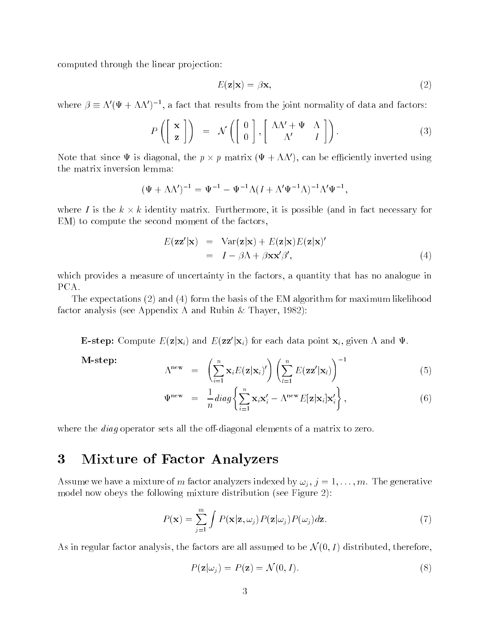computed through the linear projection:

$$
E(\mathbf{z}|\mathbf{x}) = \beta \mathbf{x},\tag{2}
$$

where  $\rho = \Lambda \left( \Psi + \Lambda \Lambda \right)$  , a fact that results from the joint normality of data and factors:

$$
P\left(\left[\begin{array}{c} \mathbf{x} \\ \mathbf{z} \end{array}\right]\right) = \mathcal{N}\left(\left[\begin{array}{c} 0 \\ 0 \end{array}\right], \left[\begin{array}{cc} \Lambda\Lambda' + \Psi & \Lambda \\ \Lambda' & I \end{array}\right]\right). \tag{3}
$$

Note that since  $\Psi$  is diagonal, the  $p \times p$  matrix ( $\Psi + \Lambda\Lambda$  ), can be emclently inverted using the matrix inversion lemma:

$$
(\Psi + \Lambda \Lambda')^{-1} = \Psi^{-1} - \Psi^{-1} \Lambda (I + \Lambda' \Psi^{-1} \Lambda)^{-1} \Lambda' \Psi^{-1},
$$

where I is the  $\kappa \times \kappa$  identity matrix. Furthermore, it is possible (and in fact necessary for EM) to compute the second moment of the factors,

$$
E(\mathbf{z}\mathbf{z}'|\mathbf{x}) = \text{Var}(\mathbf{z}|\mathbf{x}) + E(\mathbf{z}|\mathbf{x})E(\mathbf{z}|\mathbf{x})'
$$
  
=  $I - \beta \Lambda + \beta \mathbf{x} \mathbf{x}' \beta'$ , (4)

which provides a measure of uncertainty in the factors, a quantity that has no analogue in PCA.

The expectations (2) and (4) form the basis of the EM algorithm for maximum likelihood factor analysis (see Appendix A and Rubin & Thayer, 1982):

**E-step:** Compute  $E(\mathbf{z}|\mathbf{x}_i)$  and  $E(\mathbf{z}|\mathbf{x}_i)$  for each data point  $\mathbf{x}_i$ , given  $\Lambda$  and  $\Psi$ .

M-step:

$$
\Lambda^{\text{new}} = \left(\sum_{i=1}^{n} \mathbf{x}_{i} E(\mathbf{z}|\mathbf{x}_{i})'\right) \left(\sum_{l=1}^{n} E(\mathbf{z}\mathbf{z}'|\mathbf{x}_{l})\right)^{-1} \tag{5}
$$

$$
\Psi^{\text{new}} = \frac{1}{n} diag \left\{ \sum_{i=1}^{n} \mathbf{x}_{i} \mathbf{x}'_{i} - \Lambda^{\text{new}} E[\mathbf{z} | \mathbf{x}_{i}] \mathbf{x}'_{i} \right\},
$$
\n(6)

where the *diag* operator sets all the off-diagonal elements of a matrix to zero.

#### $\bf{3}$ Mixture of Factor Analyzers

Assume we have a mixture of m factor analyzers indexed by  $\omega_i$ ,  $j = 1, \ldots, m$ . The generative model now obeys the following mixture distribution (see Figure 2):

$$
P(\mathbf{x}) = \sum_{j=1}^{m} \int P(\mathbf{x}|\mathbf{z}, \omega_j) P(\mathbf{z}|\omega_j) P(\omega_j) d\mathbf{z}.
$$
 (7)

As in regular factor analysis, the factors are all assumed to be  $\mathcal{N}(0, I)$  distributed, therefore,

$$
P(\mathbf{z}|\omega_j) = P(\mathbf{z}) = \mathcal{N}(0, I). \tag{8}
$$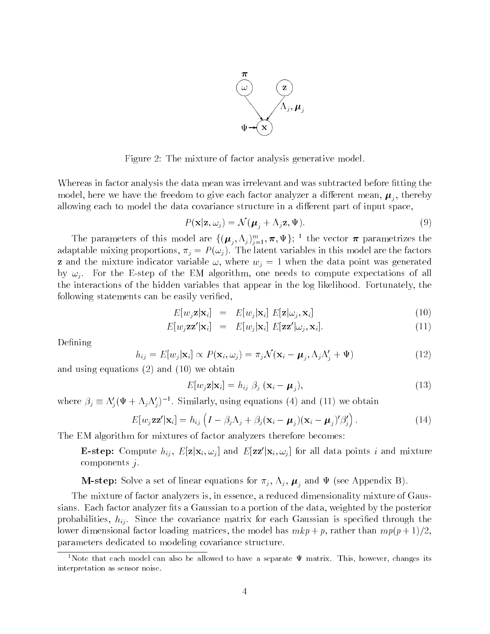

Figure 2: The mixture of factor analysis generative model.

Whereas in factor analysis the data mean was irrelevant and was subtracted before fitting the model, here we have the freedom to give each factor analyzer a different meaning  $\mathbf{r}(\eta)$  , and  $\eta$ allowing each to model the data covariance structure in a different part of input space,

$$
P(\mathbf{x}|\mathbf{z},\omega_j) = \mathcal{N}(\boldsymbol{\mu}_j + \Lambda_j \mathbf{z}, \Psi).
$$
\n(9)

The parameters of this model are  $\{(\mu_j, \Lambda_j)\}_{j=1}^{\infty}, \pi, \Psi\}$ ; the vector  $\pi$  parametrizes the adaptable mixing proportions,  $\pi_j = P(\omega_j)$ . The latent variables in this model are the factors **z** and the mixture indicator variable  $\omega$ , where  $w<sub>i</sub> = 1$  when the data point was generated by  $\omega_i$ . For the E-step of the EM algorithm, one needs to compute expectations of all the interactions of the hidden variables that appear in the log likelihood. Fortunately, the following statements can be easily verified,

$$
E[w_j \mathbf{z} | \mathbf{x}_i] = E[w_j | \mathbf{x}_i] E[\mathbf{z} | \omega_j, \mathbf{x}_i]
$$
\n(10)

$$
E[w_j \mathbf{z} \mathbf{z}' | \mathbf{x}_i] = E[w_j | \mathbf{x}_i] E[\mathbf{z} \mathbf{z}' | \omega_j, \mathbf{x}_i]. \tag{11}
$$

Defining

$$
h_{ij} = E[w_j|\mathbf{x}_i] \propto P(\mathbf{x}_i, \omega_j) = \pi_j \mathcal{N}(\mathbf{x}_i - \boldsymbol{\mu}_j, \Lambda_j \Lambda_j' + \Psi)
$$
(12)

and using equations (2) and (10) we obtain

$$
E[w_j \mathbf{z} | \mathbf{x}_i] = h_{ij} \; \beta_j \; (\mathbf{x}_i - \boldsymbol{\mu}_j), \tag{13}
$$

where  $p_j = \Lambda_j(\Psi + \Lambda_j \Lambda_j)$  . Similarly, using equations (4) and (11) we obtain

$$
E[w_j \mathbf{z} \mathbf{z}' | \mathbf{x}_i] = h_{ij} \left( I - \beta_j \Lambda_j + \beta_j (\mathbf{x}_i - \boldsymbol{\mu}_j) (\mathbf{x}_i - \boldsymbol{\mu}_j)' \beta'_j \right). \tag{14}
$$

The EM algorithm for mixtures of factor analyzers therefore becomes:

**E-step:** Compute  $h_{ij}$ ,  $E[\mathbf{z}|\mathbf{x}_i, \omega_j]$  and  $E[\mathbf{z}\mathbf{z}'|\mathbf{x}_i, \omega_j]$  for all data points i and mixture components  $j$ .

**M-step:** Solve a set of linear equations for  $\pi_j$ ,  $\Lambda_j$ ,  $\mu_j$  and  $\Psi$  (see Appendix B).

The mixture of factor analyzers is, in essence, a reduced dimensionality mixture of Gaussians. Each factor analyzer fits a Gaussian to a portion of the data, weighted by the posterior probabilities,  $h_{ij}$ . Since the covariance matrix for each Gaussian is specified through the lower dimensional factor loading matrices, the model has  $mkp + p$ , rather than  $mp(p + 1)/2$ , parameters dedicated to modeling covariance structure.

<sup>&</sup>lt;sup>1</sup>Note that each model can also be allowed to have a separate  $\Psi$  matrix. This, however, changes its interpretation as sensor noise.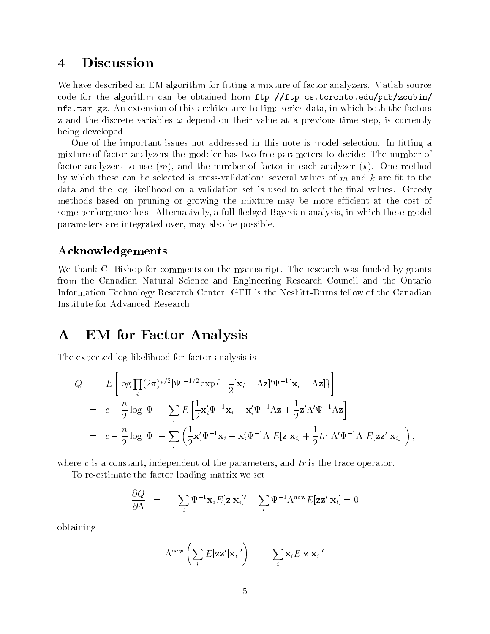#### **Discussion**  $\overline{\mathbf{4}}$

We have described an EM algorithm for fitting a mixture of factor analyzers. Matlab source code for the algorithm can be obtained from ftp://ftp.cs.toronto.edu/pub/zoubin/ mfa.tar.gz. An extension of this architecture to time series data, in which both the factors **z** and the discrete variables  $\omega$  depend on their value at a previous time step, is currently being developed.

One of the important issues not addressed in this note is model selection. In fitting a mixture of factor analyzers the modeler has two free parameters to decide: The number of factor analyzers to use  $(m)$ , and the number of factor in each analyzer  $(k)$ . One method by which these can be selected is cross-validation: several values of  $m$  and  $k$  are fit to the data and the log likelihood on a validation set is used to select the final values. Greedy methods based on pruning or growing the mixture may be more efficient at the cost of some performance loss. Alternatively, a full-fledged Bayesian analysis, in which these model parameters are integrated over, may also be possible.

### Acknowledgements

We thank C. Bishop for comments on the manuscript. The research was funded by grants from the Canadian Natural Science and Engineering Research Council and the Ontario Information Technology Research Center. GEH is the Nesbitt-Burns fellow of the Canadian Institute for Advanced Research.

## A EM for Factor Analysis

The expected log likelihood for factor analysis is

$$
Q = E\left[\log \prod_{i} (2\pi)^{p/2} |\Psi|^{-1/2} \exp\{-\frac{1}{2}[\mathbf{x}_{i} - \Lambda \mathbf{z}]'\Psi^{-1}[\mathbf{x}_{i} - \Lambda \mathbf{z}]\}\right]
$$
  
\n
$$
= c - \frac{n}{2} \log |\Psi| - \sum_{i} E\left[\frac{1}{2}\mathbf{x}'_{i}\Psi^{-1}\mathbf{x}_{i} - \mathbf{x}'_{i}\Psi^{-1}\Lambda \mathbf{z} + \frac{1}{2}\mathbf{z}'\Lambda'\Psi^{-1}\Lambda \mathbf{z}\right]
$$
  
\n
$$
= c - \frac{n}{2} \log |\Psi| - \sum_{i} \left(\frac{1}{2}\mathbf{x}'_{i}\Psi^{-1}\mathbf{x}_{i} - \mathbf{x}'_{i}\Psi^{-1}\Lambda E[\mathbf{z}|\mathbf{x}_{i}] + \frac{1}{2}tr\left[\Lambda'\Psi^{-1}\Lambda E[\mathbf{z}\mathbf{z}'|\mathbf{x}_{i}]\right]\right),
$$

where  $c$  is a constant, independent of the parameters, and  $tr$  is the trace operator.

To re-estimate the factor loading matrix we set

$$
\frac{\partial Q}{\partial \Lambda} = -\sum_{i} \Psi^{-1} \mathbf{x}_{i} E[\mathbf{z} | \mathbf{x}_{i}]' + \sum_{l} \Psi^{-1} \Lambda^{\text{new}} E[\mathbf{z} \mathbf{z}' | \mathbf{x}_{l}] = 0
$$

obtaining

$$
\Lambda^{\text{new}}\left(\sum_{l} E[\mathbf{z}\mathbf{z}'|\mathbf{x}_l]'\right) = \sum_{i} \mathbf{x}_i E[\mathbf{z}|\mathbf{x}_i]'
$$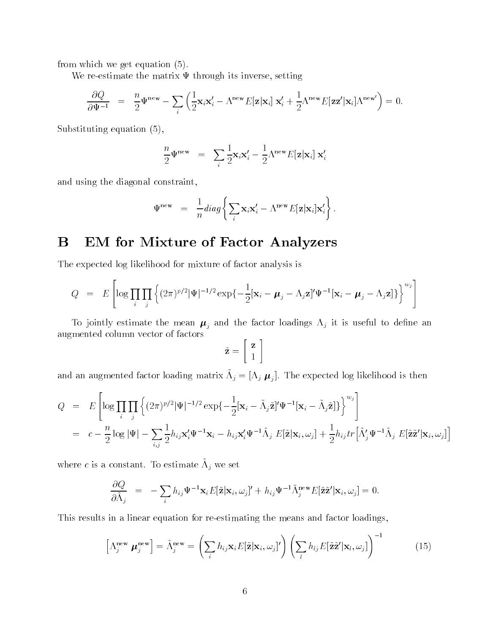from which we get equation (5).

We re-estimate the matrix  $\Psi$  through its inverse, setting

$$
\frac{\partial Q}{\partial \Psi^{-1}} = \frac{n}{2} \Psi^{\text{new}} - \sum_{i} \left( \frac{1}{2} \mathbf{x}_{i} \mathbf{x}_{i}^{\prime} - \Lambda^{\text{new}} E[\mathbf{z} | \mathbf{x}_{i}] \mathbf{x}_{i}^{\prime} + \frac{1}{2} \Lambda^{\text{new}} E[\mathbf{z} \mathbf{z}^{\prime} | \mathbf{x}_{i}] \Lambda^{\text{new}} \right) = 0.
$$

Substituting equation (5),

$$
\frac{n}{2}\Psi^{\text{new}} = \sum_{i} \frac{1}{2} \mathbf{x}_{i} \mathbf{x}'_{i} - \frac{1}{2} \Lambda^{\text{new}} E[\mathbf{z}|\mathbf{x}_{i}] \mathbf{x}'_{i}
$$

and using the diagonal constraint,

$$
\Psi^{\text{new}} = \frac{1}{n} diag \left\{ \sum_{i} \mathbf{x}_{i} \mathbf{x}'_{i} - \Lambda^{\text{new}} E[\mathbf{z} | \mathbf{x}_{i}] \mathbf{x}'_{i} \right\}.
$$

# B EM for Mixture of Factor Analyzers

The expected log likelihood for mixture of factor analysis is

$$
Q = E\left[\log \prod_i \prod_j \left\{ (2\pi)^{p/2} |\Psi|^{-1/2} \exp \{-\frac{1}{2} [\mathbf{x}_i - \boldsymbol{\mu}_j - \Lambda_j \mathbf{z}]'\Psi^{-1} [\mathbf{x}_i - \boldsymbol{\mu}_j - \Lambda_j \mathbf{z}] \} \right\}^{w_j} \right]
$$

To jointly estimate the mean  $\mu_j$  and the factor loadings  $\Lambda_j$  it is useful to define an augmented column vector of factors

$$
\tilde{\mathbf{z}} = \left[ \begin{array}{c} \mathbf{z} \\ 1 \end{array} \right]
$$

and an augmented factor loading matrix  $\pi_j = [\pi_j \ \boldsymbol{\mu}_j]$ . The expected log intentional is then

$$
Q = E\left[\log \prod_{i} \prod_{j} \left\{ (2\pi)^{p/2} |\Psi|^{-1/2} \exp\{-\frac{1}{2} [\mathbf{x}_{i} - \tilde{\Lambda}_{j} \tilde{\mathbf{z}}]^{\prime} \Psi^{-1} [\mathbf{x}_{i} - \tilde{\Lambda}_{j} \tilde{\mathbf{z}}] \} \right\}^{w_{j}}\right]
$$
  
=  $c - \frac{n}{2} \log |\Psi| - \sum_{i,j} \frac{1}{2} h_{ij} \mathbf{x}_{i}^{\prime} \Psi^{-1} \mathbf{x}_{i} - h_{ij} \mathbf{x}_{i}^{\prime} \Psi^{-1} \tilde{\Lambda}_{j} E[\tilde{\mathbf{z}} | \mathbf{x}_{i}, \omega_{j}] + \frac{1}{2} h_{ij} tr \left[ \tilde{\Lambda}_{j}^{\prime} \Psi^{-1} \tilde{\Lambda}_{j} E[\tilde{\mathbf{z}} \tilde{\mathbf{z}}^{\prime} | \mathbf{x}_{i}, \omega_{j}] \right]$ 

where  $c$  is a constant. To estimate  $\Lambda_i$  we set

$$
\frac{\partial Q}{\partial \tilde{\Lambda}_j} = -\sum_i h_{ij} \Psi^{-1} \mathbf{x}_i E[\tilde{\mathbf{z}} | \mathbf{x}_i, \omega_j]' + h_{ij} \Psi^{-1} \tilde{\Lambda}_j^{\text{new}} E[\tilde{\mathbf{z}} \tilde{\mathbf{z}}' | \mathbf{x}_i, \omega_j] = 0.
$$

This results in a linear equation for re-estimating the means and factor loadings,

$$
\left[\Lambda_j^{\text{new}} \boldsymbol{\mu}_j^{\text{new}}\right] = \tilde{\Lambda}_j^{\text{new}} = \left(\sum_i h_{ij} \mathbf{x}_i E[\tilde{\mathbf{z}} | \mathbf{x}_i, \omega_j]' \right) \left(\sum_l h_{lj} E[\tilde{\mathbf{z}} \tilde{\mathbf{z}}' | \mathbf{x}_l, \omega_j]\right)^{-1}
$$
(15)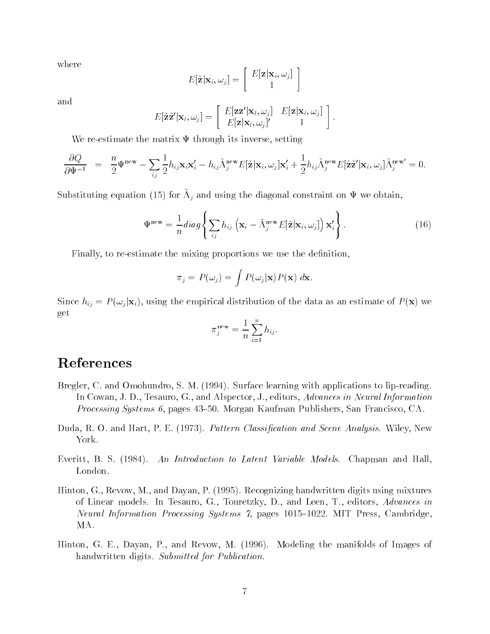where

$$
E[\tilde{\mathbf{z}}|\mathbf{x}_i,\omega_j] = \left[\begin{array}{c} E[\mathbf{z}|\mathbf{x}_i,\omega_j] \\ 1 \end{array}\right]
$$

and

$$
E[\tilde{\mathbf{z}}\tilde{\mathbf{z}}'|\mathbf{x}_l,\omega_j] = \begin{bmatrix} E[\mathbf{z}\mathbf{z}'|\mathbf{x}_l,\omega_j] & E[\mathbf{z}|\mathbf{x}_l,\omega_j] \\ E[\mathbf{z}|\mathbf{x}_l,\omega_j]' & 1 \end{bmatrix}.
$$

We re-estimate the matrix  $\Psi$  through its inverse, setting

$$
\frac{\partial Q}{\partial \Psi^{-1}} = \frac{n}{2} \Psi^{\text{new}} - \sum_{ij} \frac{1}{2} h_{ij} \mathbf{x}_i \mathbf{x}_i' - h_{ij} \tilde{\Lambda}_j^{\text{new}} E[\tilde{\mathbf{z}}] \mathbf{x}_i, \omega_j] \mathbf{x}_i' + \frac{1}{2} h_{ij} \tilde{\Lambda}_j^{\text{new}} E[\tilde{\mathbf{z}} \tilde{\mathbf{z}}' | \mathbf{x}_i, \omega_j] \tilde{\Lambda}_j^{\text{new}} = 0.
$$

 $S$ ubstituting equation (15) for  $\Lambda_j$  and using the diagonal constraint on  $\Psi$  we obtain,

$$
\Psi^{\text{new}} = \frac{1}{n} \operatorname{diag} \left\{ \sum_{ij} h_{ij} \left( \mathbf{x}_i - \tilde{\Lambda}_j^{\text{new}} E[\tilde{\mathbf{z}} | \mathbf{x}_i, \omega_j] \right) \mathbf{x}'_i \right\}.
$$
 (16)

Finally, to re-estimate the mixing proportions we use the definition,

$$
\pi_j = P(\omega_j) = \int P(\omega_j | \mathbf{x}) P(\mathbf{x}) \, d\mathbf{x}.
$$

Since  $h_{ij} = P(\omega_j | \mathbf{x}_i)$ , using the empirical distribution of the data as an estimate of  $P(\mathbf{x})$  we get

$$
\pi_j^{\text{new}} = \frac{1}{n} \sum_{i=1}^n h_{ij}.
$$

## References

- Bregler, C. and Omohundro, S. M. (1994). Surface learning with applications to lip-reading. In Cowan, J. D., Tesauro, G., and Alspector, J., editors, Advances in Neural Information Processing Systems 6, pages 43-50. Morgan Kaufman Publishers, San Francisco, CA.
- Duda, R. O. and Hart, P. E. (1973). Pattern Classification and Scene Analysis. Wiley, New York.
- Everitt, B. S. (1984). An Introduction to Latent Variable Models. Chapman and Hall, London.
- Hinton, G., Revow, M., and Dayan, P. (1995). Recognizing handwritten digits using mixtures of Linear models. In Tesauro, G., Touretzky, D., and Leen, T., editors, Advances in Neural Information Processing Systems 7, pages 1015-1022. MIT Press, Cambridge, MA.
- Hinton, G. E., Dayan, P., and Revow, M. (1996). Modeling the manifolds of Images of handwritten digits. Submitted for Publication.